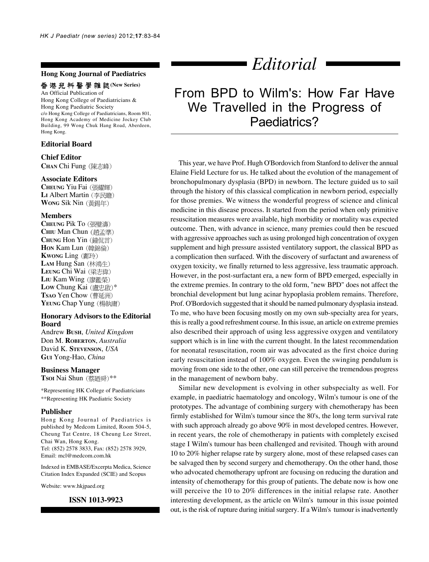## **Hong Kong Journal of Paediatrics**

#### 香港兒科醫學雜誌(New Series)

An Official Publication of Hong Kong College of Paediatricians & Hong Kong Paediatric Society c/o Hong Kong College of Paediatricians, Room 801, Hong Kong Academy of Medicine Jockey Club Building, 99 Wong Chuk Hang Road, Aberdeen, Hong Kong.

# **Editorial Board**

#### **Chief Editor**

**CHAN** Chi Fung

#### **Associate Editors**

**CHEUNG** Yiu Fai LI Albert Martin (李民瞻) **WONG** Sik Nin

#### **Members**

**CHEUNG** Pik To **CHIU** Man Chun CHUNG Hon Yin (鐘侃言) **HON** Kam Lun **KWONG** Ling (鄺玲) LAM Hung San (林鴻生) **LEUNG** Chi Wai LIU Kam Wing (廖鑑榮) Low Chung Kai (盧忠啟)\* **Tsao** Yen Chow (曹延洲) YEUNG Chap Yung (楊執庸)

#### **Honorary Advisors to the Editorial Board**

Andrew **BUSH**, *United Kingdom* Don M. **ROBERTON**, *Australia* David K. **STEVENSON**, *USA* **GUI** Yong-Hao, *China*

#### **Business Manager**

**Tsoi Nai Shun** (蔡廼舜)\*\*

\*Representing HK College of Paediatricians \*\*Representing HK Paediatric Society

### **Publisher**

Hong Kong Journal of Paediatrics is published by Medcom Limited, Room 504-5, Cheung Tat Centre, 18 Cheung Lee Street, Chai Wan, Hong Kong. Tel: (852) 2578 3833, Fax: (852) 2578 3929, Email: mcl@medcom.com.hk

Indexed in EMBASE/Excerpta Medica, Science Citation Index Expanded (SCIE) and Scopus

Website: www.hkjpaed.org

### **ISSN 1013-9923**

# *Editorial*

# From BPD to Wilm's: How Far Have We Travelled in the Progress of Paediatrics?

This year, we have Prof. Hugh O'Bordovich from Stanford to deliver the annual Elaine Field Lecture for us. He talked about the evolution of the management of bronchopulmonary dysplasia (BPD) in newborn. The lecture guided us to sail through the history of this classical complication in newborn period, especially for those premies. We witness the wonderful progress of science and clinical medicine in this disease process. It started from the period when only primitive resuscitation measures were available, high morbidity or mortality was expected outcome. Then, with advance in science, many premies could then be rescued with aggressive approaches such as using prolonged high concentration of oxygen supplement and high pressure assisted ventilatory support, the classical BPD as a complication then surfaced. With the discovery of surfactant and awareness of oxygen toxicity, we finally returned to less aggressive, less traumatic approach. However, in the post-surfactant era, a new form of BPD emerged, especially in the extreme premies. In contrary to the old form, "new BPD" does not affect the bronchial development but lung acinar hypoplasia problem remains. Therefore, Prof. O'Bordovich suggested that it should be named pulmonary dysplasia instead. To me, who have been focusing mostly on my own sub-specialty area for years, this is really a good refreshment course. In this issue, an article on extreme premies also described their approach of using less aggressive oxygen and ventilatory support which is in line with the current thought. In the latest recommendation for neonatal resuscitation, room air was advocated as the first choice during early resuscitation instead of 100% oxygen. Even the swinging pendulum is moving from one side to the other, one can still perceive the tremendous progress in the management of newborn baby.

Similar new development is evolving in other subspecialty as well. For example, in paediatric haematology and oncology, Wilm's tumour is one of the prototypes. The advantage of combining surgery with chemotherapy has been firmly established for Wilm's tumour since the 80's, the long term survival rate with such approach already go above 90% in most developed centres. However, in recent years, the role of chemotherapy in patients with completely excised stage I Wilm's tumour has been challenged and revisited. Though with around 10 to 20% higher relapse rate by surgery alone, most of these relapsed cases can be salvaged then by second surgery and chemotherapy. On the other hand, those who advocated chemotherapy upfront are focusing on reducing the duration and intensity of chemotherapy for this group of patients. The debate now is how one will perceive the 10 to 20% differences in the initial relapse rate. Another interesting development, as the article on Wilm's tumour in this issue pointed out, is the risk of rupture during initial surgery. If a Wilm's tumour is inadvertently